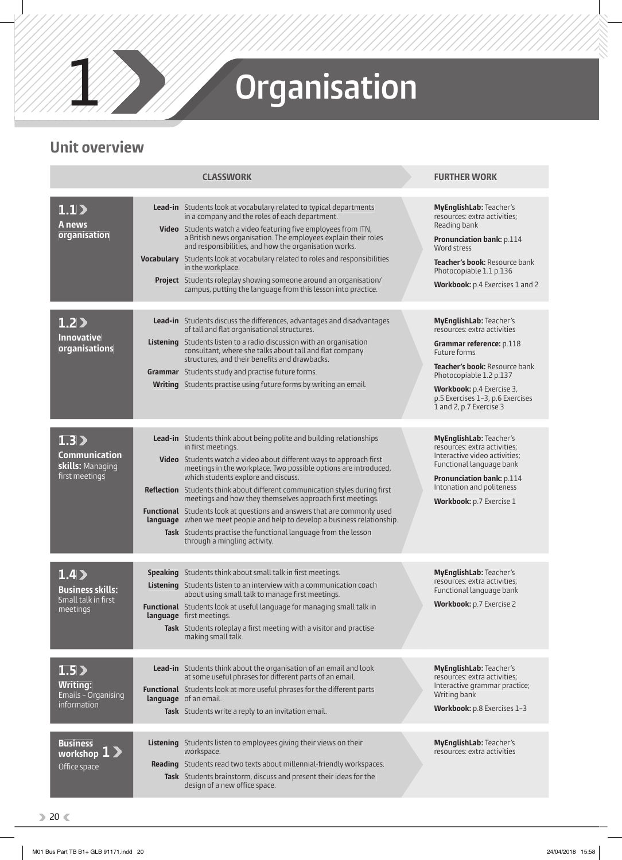

# 1 **Organisation**

## **Unit overview**

| <b>CLASSWORK</b>                                                                                       |  |                                                                                                                                                                                                                                                                                                                                                                                                                                                                                                                                                                                                                                                                                           |  | <b>FURTHER WORK</b>                                                                                                                                                                                                                                               |
|--------------------------------------------------------------------------------------------------------|--|-------------------------------------------------------------------------------------------------------------------------------------------------------------------------------------------------------------------------------------------------------------------------------------------------------------------------------------------------------------------------------------------------------------------------------------------------------------------------------------------------------------------------------------------------------------------------------------------------------------------------------------------------------------------------------------------|--|-------------------------------------------------------------------------------------------------------------------------------------------------------------------------------------------------------------------------------------------------------------------|
| 1.1<br>A news<br>organisation                                                                          |  | Lead-in Students look at vocabulary related to typical departments<br>in a company and the roles of each department.<br>Video Students watch a video featuring five employees from ITN,<br>a British news organisation. The employees explain their roles<br>and responsibilities, and how the organisation works.<br>Vocabulary Students look at vocabulary related to roles and responsibilities<br>in the workplace.<br>Project Students roleplay showing someone around an organisation/<br>campus, putting the language from this lesson into practice.                                                                                                                              |  | MyEnglishLab: Teacher's<br>resources: extra activities;<br>Reading bank<br><b>Pronunciation bank: p.114</b><br>Word stress<br>Teacher's book: Resource bank<br>Photocopiable 1.1 p.136<br><b>Workbook:</b> p.4 Exercises 1 and 2                                  |
| 1.2<br><b>Innovative</b><br>organisations                                                              |  | Lead-in Students discuss the differences, advantages and disadvantages<br>of tall and flat organisational structures.<br>Listening Students listen to a radio discussion with an organisation<br>consultant, where she talks about tall and flat company<br>structures, and their benefits and drawbacks.<br><b>Grammar</b> Students study and practise future forms.<br>Writing Students practise using future forms by writing an email.                                                                                                                                                                                                                                                |  | MyEnglishLab: Teacher's<br>resources: extra activities<br>Grammar reference: p.118<br>Future forms<br>Teacher's book: Resource bank<br>Photocopiable 1.2 p.137<br><b>Workbook:</b> p.4 Exercise 3,<br>p.5 Exercises 1-3, p.6 Exercises<br>1 and 2, p.7 Exercise 3 |
| 1.3 <sub>2</sub><br>Communication<br>skills: Managing<br>first meetings                                |  | Lead-in Students think about being polite and building relationships<br>in first meetings.<br><b>Video</b> Students watch a video about different ways to approach first<br>meetings in the workplace. Two possible options are introduced,<br>which students explore and discuss.<br>Reflection Students think about different communication styles during first<br>meetings and how they themselves approach first meetings.<br>Functional Students look at questions and answers that are commonly used<br>language when we meet people and help to develop a business relationship.<br>Task Students practise the functional language from the lesson<br>through a mingling activity. |  | MyEnglishLab: Teacher's<br>resources: extra activities:<br>Interactive video activities;<br>Functional language bank<br><b>Pronunciation bank: p.114</b><br>Intonation and politeness<br><b>Workbook:</b> p.7 Exercise 1                                          |
| 1.4 <sub>2</sub><br><b>Business skills:</b><br>Small talk in first<br>meetings<br>1.5                  |  | Speaking Students think about small talk in first meetings.<br>Listening Students listen to an interview with a communication coach<br>about using small talk to manage first meetings.<br>Functional Students look at useful language for managing small talk in<br>language first meetings.<br>Task Students roleplay a first meeting with a visitor and practise<br>making small talk.<br>Lead-in Students think about the organisation of an email and look<br>at some useful phrases for different parts of an email.                                                                                                                                                                |  | MyEnglishLab: Teacher's<br>resources: extra activities;<br>Functional language bank<br>Workbook: p.7 Exercise 2<br>MyEnglishLab: Teacher's<br>resources: extra activities;                                                                                        |
| <b>Writing:</b><br>Emails - Organising<br>information<br><b>Business</b><br>workshop 1<br>Office space |  | <b>Functional</b> Students look at more useful phrases for the different parts<br>language of an email.<br>Task Students write a reply to an invitation email.<br>Listening Students listen to employees giving their views on their<br>workspace.<br>Reading Students read two texts about millennial-friendly workspaces.<br>Task Students brainstorm, discuss and present their ideas for the<br>design of a new office space.                                                                                                                                                                                                                                                         |  | Interactive grammar practice;<br>Writing bank<br>Workbook: p.8 Exercises 1-3<br>MyEnglishLab: Teacher's<br>resources: extra activities                                                                                                                            |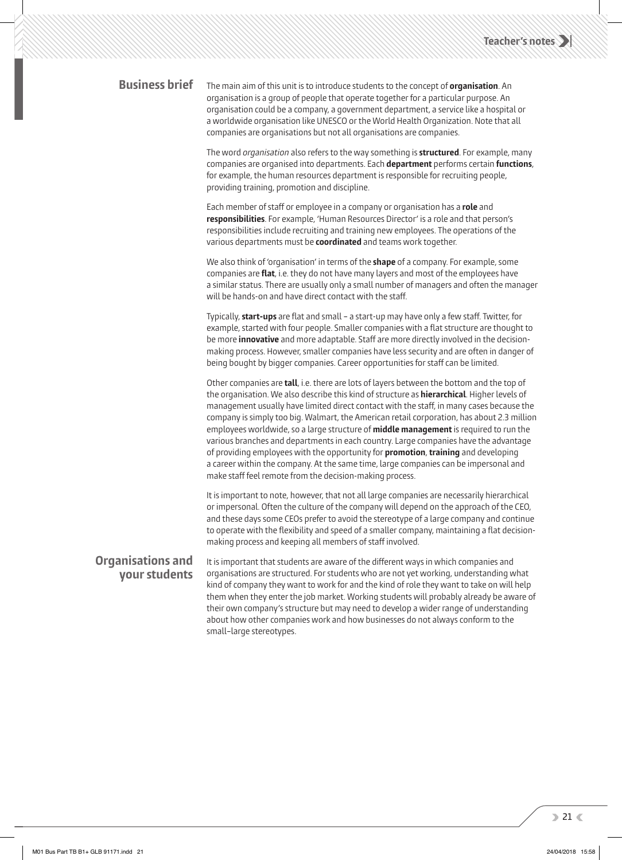#### **Business brief**

 The main aim of this unit is to introduce students to the concept of **organisation** . An organisation is a group of people that operate together for a particular purpose. An organisation could be a company, a government department, a service like a hospital or a worldwide organisation like UNESCO or the World Health Organization. Note that all companies are organisations but not all organisations are companies.

 The word *organisation* also refers to the way something is **structured** . For example, many companies are organised into departments. Each **department** performs certain **functions** , for example, the human resources department is responsible for recruiting people, providing training, promotion and discipline.

Each member of staff or employee in a company or organisation has a **role** and **responsibilities** . For example, 'Human Resources Director' is a role and that person's responsibilities include recruiting and training new employees. The operations of the various departments must be **coordinated** and teams work together.

 We also think of 'organisation' in terms of the **shape** of a company. For example, some companies are **flat**, i.e. they do not have many layers and most of the employees have a similar status. There are usually only a small number of managers and often the manager will be hands-on and have direct contact with the staff.

Typically, **start-ups** are flat and small – a start-up may have only a few staff. Twitter, for example, started with four people. Smaller companies with a flat structure are thought to be more *innovative* and more adaptable. Staff are more directly involved in the decisionmaking process. However, smaller companies have less security and are often in danger of being bought by bigger companies. Career opportunities for staff can be limited.

 Other companies are **tall** , i.e. there are lots of layers between the bottom and the top of the organisation. We also describe this kind of structure as **hierarchical** . Higher levels of management usually have limited direct contact with the staff, in many cases because the company is simply too big. Walmart, the American retail corporation, has about 2.3 million employees worldwide, so a large structure of **middle management** is required to run the various branches and departments in each country. Large companies have the advantage of providing employees with the opportunity for **promotion** , **training** and developing a career within the company. At the same time, large companies can be impersonal and make staff feel remote from the decision-making process.

 It is important to note, however, that not all large companies are necessarily hierarchical or impersonal. Often the culture of the company will depend on the approach of the CEO, and these days some CEOs prefer to avoid the stereotype of a large company and continue to operate with the flexibility and speed of a smaller company, maintaining a flat decisionmaking process and keeping all members of staff involved.

## **Organisations and your students**

It is important that students are aware of the different ways in which companies and organisations are structured. For students who are not yet working, understanding what kind of company they want to work for and the kind of role they want to take on will help them when they enter the job market. Working students will probably already be aware of their own company's structure but may need to develop a wider range of understanding about how other companies work and how businesses do not always conform to the small–large stereotypes.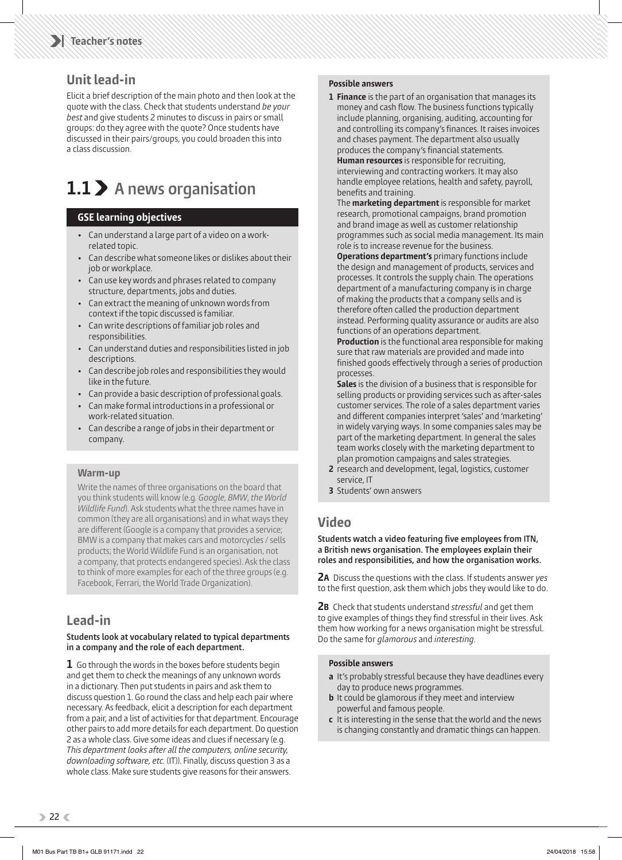## **Unit lead-in**

 Elicit a brief description of the main photo and then look at the quote with the class. Check that students understand *be your best* and give students 2 minutes to discuss in pairs or small groups: do they agree with the quote? Once students have discussed in their pairs/groups, you could broaden this into a class discussion.

## **1.1 A news organisation**

#### **GSE learning objectives**

- Can understand a large part of a video on a workrelated topic.
- Can describe what someone likes or dislikes about their job or workplace.
- Can use key words and phrases related to company structure, departments, jobs and duties.
- Can extract the meaning of unknown words from context if the topic discussed is familiar.
- Can write descriptions of familiar job roles and responsibilities.
- Can understand duties and responsibilities listed in job descriptions.
- Can describe job roles and responsibilities they would like in the future.
- Can provide a basic description of professional goals.
- Can make formal introductions in a professional or work-related situation.
- Can describe a range of jobs in their department or company.

#### **Warm-up**

Write the names of three organisations on the board that you think students will know (e.g. *Google*, *BMW*, *the World Wildlife Fund*). Ask students what the three names have in common (they are all organisations) and in what ways they are different (Google is a company that provides a service; BMW is a company that makes cars and motorcycles / sells products; the World Wildlife Fund is an organisation, not a company, that protects endangered species). Ask the class to think of more examples for each of the three groups (e.g. Facebook, Ferrari, the World Trade Organization).

## **Lead-in**

#### **Students look at vocabulary related to typical departments in a company and the role of each department.**

**1** Go through the words in the boxes before students begin and get them to check the meanings of any unknown words in a dictionary. Then put students in pairs and ask them to discuss question 1. Go round the class and help each pair where necessary. As feedback, elicit a description for each department from a pair, and a list of activities for that department. Encourage other pairs to add more details for each department. Do question 2 as a whole class. Give some ideas and clues if necessary (e.g. *This department looks after all the computers, online security, downloading software, etc.* (IT)). Finally, discuss question 3 as a whole class. Make sure students give reasons for their answers.

#### **Possible answers**

**1 Finance** is the part of an organisation that manages its money and cash flow. The business functions typically include planning, organising, auditing, accounting for and controlling its company's finances. It raises invoices and chases payment. The department also usually produces the company's financial statements. **Human resources** is responsible for recruiting, interviewing and contracting workers. It may also handle employee relations, health and safety, payroll, benefits and training.

The **marketing department** is responsible for market research, promotional campaigns, brand promotion and brand image as well as customer relationship programmes such as social media management. Its main role is to increase revenue for the business.

**Operations department's** primary functions include the design and management of products, services and processes. It controls the supply chain. The operations department of a manufacturing company is in charge of making the products that a company sells and is therefore often called the production department instead. Performing quality assurance or audits are also functions of an operations department.

**Production** is the functional area responsible for making sure that raw materials are provided and made into finished goods effectively through a series of production processes.

**Sales** is the division of a business that is responsible for selling products or providing services such as after-sales customer services. The role of a sales department varies and different companies interpret 'sales' and 'marketing' in widely varying ways. In some companies sales may be part of the marketing department. In general the sales team works closely with the marketing department to plan promotion campaigns and sales strategies.

- **2** research and development, legal, logistics, customer service, IT
- **3** Students' own answers

## **Video**

Students watch a video featuring five employees from ITN, **a British news organisation. The employees explain their roles and responsibilities, and how the organisation works.** 

**2A** Discuss the questions with the class. If students answer *yes* to the first question, ask them which jobs they would like to do.

**2B** Check that students understand *stressful* and get them to give examples of things they find stressful in their lives. Ask them how working for a news organisation might be stressful. Do the same for *glamorous* and *interesting* .

#### **Possible answers**

- **a** It's probably stressful because they have deadlines every day to produce news programmes.
- **b** It could be glamorous if they meet and interview powerful and famous people.
- **c** It is interesting in the sense that the world and the news is changing constantly and dramatic things can happen.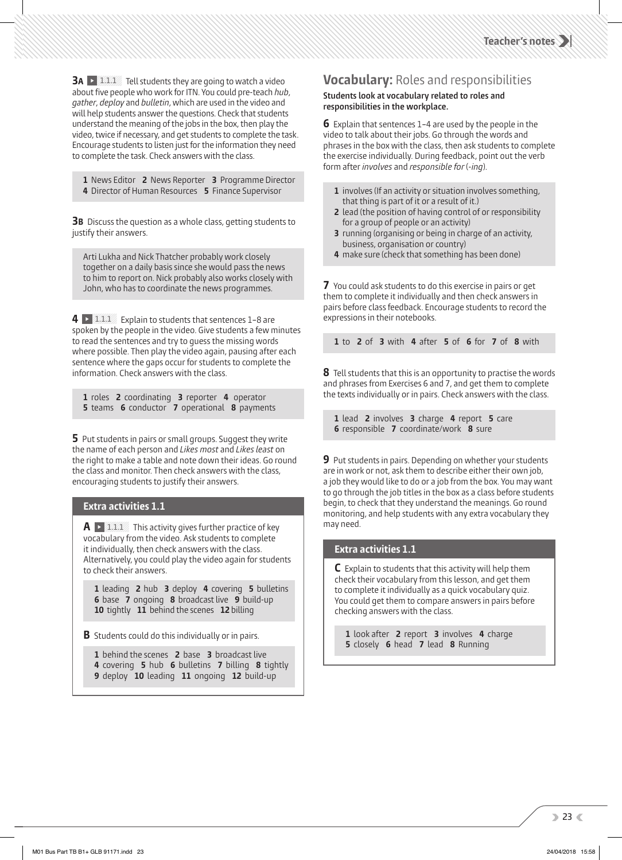**3A 1.1.1** Tell students they are going to watch a video about five people who work for ITN. You could pre-teach *hub*, *gather* , *deploy* and *bulletin* , which are used in the video and will help students answer the questions. Check that students understand the meaning of the jobs in the box, then play the video, twice if necessary, and get students to complete the task. Encourage students to listen just for the information they need to complete the task. Check answers with the class.

**1** News Editor **2** News Reporter **3** Programme Director **4** Director of Human Resources **5** Finance Supervisor

**3B** Discuss the question as a whole class, getting students to justify their answers.

Arti Lukha and Nick Thatcher probably work closely together on a daily basis since she would pass the news to him to report on. Nick probably also works closely with John, who has to coordinate the news programmes.

**4 1.1.1** Explain to students that sentences 1-8 are spoken by the people in the video. Give students a few minutes to read the sentences and try to guess the missing words where possible. Then play the video again, pausing after each sentence where the gaps occur for students to complete the information. Check answers with the class.

**1** roles **2** coordinating **3** reporter **4** operator **5** teams **6** conductor **7** operational **8** payments

**5** Put students in pairs or small groups. Suggest they write the name of each person and *Likes most* and *Likes least* on the right to make a table and note down their ideas. Go round the class and monitor. Then check answers with the class, encouraging students to justify their answers.

#### **Extra activities 1.1**

 $\mathbf{A} \rightarrow 111$  This activity gives further practice of key vocabulary from the video. Ask students to complete it individually, then check answers with the class. Alternatively, you could play the video again for students to check their answers.

**1** leading **2** hub **3** deploy **4** covering **5** bulletins **6** base **7** ongoing **8** broadcast live **9** build-up **10** tightly **11** behind the scenes **12** billing

**B** Students could do this individually or in pairs.

- **1** behind the scenes **2** base **3** broadcast live
- **4** covering **5** hub **6** bulletins **7** billing **8** tightly
- **9** deploy **10** leading **11** ongoing **12** build-up

## **Vocabulary:** Roles and responsibilities

#### **Students look at vocabulary related to roles and responsibilities in the workplace.**

**6** Explain that sentences 1–4 are used by the people in the video to talk about their jobs. Go through the words and phrases in the box with the class, then ask students to complete the exercise individually. During feedback, point out the verb form after *involves* and *responsible for (-inq)*.

- **1** involves (If an activity or situation involves something, that thing is part of it or a result of it.)
- **2** lead (the position of having control of or responsibility for a group of people or an activity)
- **3** running (organising or being in charge of an activity, business, organisation or country)
- **4** make sure (check that something has been done)

**7** You could ask students to do this exercise in pairs or get them to complete it individually and then check answers in pairs before class feedback. Encourage students to record the expressions in their notebooks.

**1** to **2** of **3** with **4** after **5** of **6** for **7** of **8** with

**8** Tell students that this is an opportunity to practise the words and phrases from Exercises 6 and 7, and get them to complete the texts individually or in pairs. Check answers with the class.

**1** lead **2** involves **3** charge **4** report **5** care **6** responsible **7** coordinate/work **8** sure

**9** Put students in pairs. Depending on whether your students are in work or not, ask them to describe either their own job, a job they would like to do or a job from the box. You may want to go through the job titles in the box as a class before students begin, to check that they understand the meanings. Go round monitoring, and help students with any extra vocabulary they may need.

#### **Extra activities 1.1**

**C** Explain to students that this activity will help them check their vocabulary from this lesson, and get them to complete it individually as a quick vocabulary quiz. You could get them to compare answers in pairs before checking answers with the class.

**1** look after **2** report **3** involves **4** charge **5** closely **6** head **7** lead **8** Running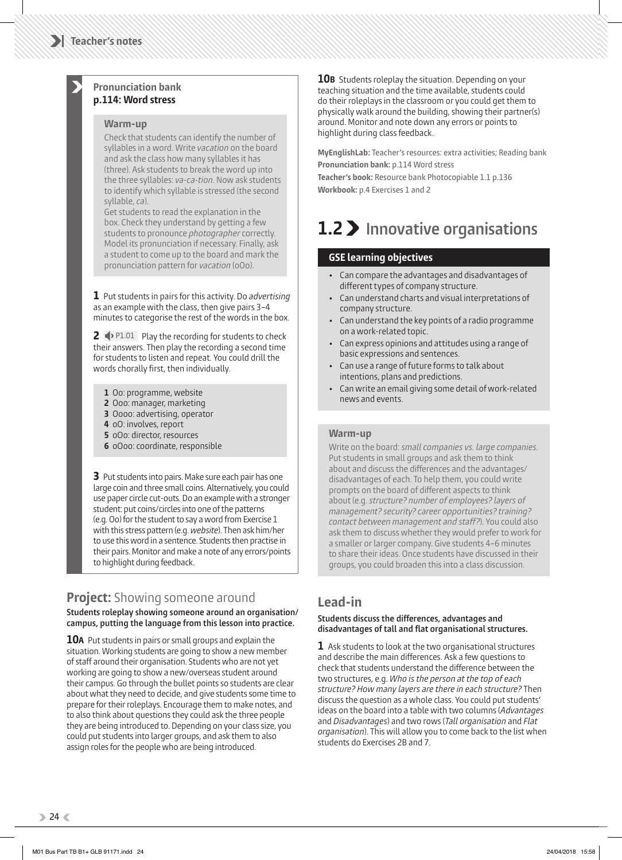#### **Pronunciation bank p.114: Word stress**

#### **Warm-up**

Check that students can identify the number of syllables in a word. Write *vacation* on the board and ask the class how many syllables it has (three). Ask students to break the word up into the three syllables: *va-ca-tion*. Now ask students to identify which syllable is stressed (the second syllable, *ca*).

Get students to read the explanation in the box. Check they understand by getting a few students to pronounce *photographer* correctly. Model its pronunciation if necessary. Finally, ask a student to come up to the board and mark the pronunciation pattern for *vacation* (oOo).

**1** Put students in pairs for this activity. Do *advertising* as an example with the class, then give pairs 3–4 minutes to categorise the rest of the words in the box.

**2**  $\blacklozenge$  P1.01 Play the recording for students to check their answers. Then play the recording a second time for students to listen and repeat. You could drill the words chorally first, then individually.

- **1** Oo: programme, website
- **2** Ooo: manager, marketing
- **3** Oooo: advertising, operator
- **4** oO: involves, report
- **5** oOo: director, resources
- **6** oOoo: coordinate, responsible

**3** Put students into pairs. Make sure each pair has one large coin and three small coins. Alternatively, you could use paper circle cut-outs. Do an example with a stronger student: put coins/circles into one of the patterns (e.g. Oo) for the student to say a word from Exercise 1 with this stress pattern (e.g. *website* ). Then ask him/her to use this word in a sentence. Students then practise in their pairs. Monitor and make a note of any errors/points to highlight during feedback.

## **Project:** Showing someone around

 **Students roleplay showing someone around an organisation/ campus, putting the language from this lesson into practice.** 

**10A** Put students in pairs or small groups and explain the situation. Working students are going to show a new member of staff around their organisation. Students who are not yet working are going to show a new/overseas student around their campus. Go through the bullet points so students are clear about what they need to decide, and give students some time to prepare for their roleplays. Encourage them to make notes, and to also think about questions they could ask the three people they are being introduced to. Depending on your class size, you could put students into larger groups, and ask them to also assign roles for the people who are being introduced.

**10B** Students roleplay the situation. Depending on your teaching situation and the time available, students could do their roleplays in the classroom or you could get them to physically walk around the building, showing their partner(s) around. Monitor and note down any errors or points to highlight during class feedback.

**MyEnglishLab:** Teacher's resources: extra activities; Reading bank **Pronunciation bank:** p.114 Word stress **Teacher's book:** Resource bank Photocopiable 1.1 p.136 **Workbook:** p.4 Exercises 1 and 2

## **1.2 Innovative organisations**

#### **GSE learning objectives**

- Can compare the advantages and disadvantages of different types of company structure.
- Can understand charts and visual interpretations of company structure.
- Can understand the key points of a radio programme on a work-related topic.
- Can express opinions and attitudes using a range of basic expressions and sentences.
- Can use a range of future forms to talk about intentions, plans and predictions.
- Can write an email giving some detail of work-related news and events.

#### **Warm-up**

Write on the board: *small companies vs. large companies*. Put students in small groups and ask them to think about and discuss the differences and the advantages/ disadvantages of each. To help them, you could write prompts on the board of different aspects to think about (e.g. *structure? number of employees? layers of management? security? career opportunities? training? contact between management and sta ?*). You could also ask them to discuss whether they would prefer to work for a smaller or larger company. Give students 4–6 minutes to share their ideas. Once students have discussed in their groups, you could broaden this into a class discussion.

#### **Lead-in**

#### **Students discuss the differences, advantages and** disadvantages of tall and flat organisational structures.

**1** Ask students to look at the two organisational structures and describe the main differences. Ask a few questions to check that students understand the difference between the two structures, e.g. *Who is the person at the top of each structure? How many layers are there in each structure?* Then discuss the question as a whole class. You could put students' ideas on the board into a table with two columns ( *Advantages*  and *Disadvantages* ) and two rows ( *Tall organisation* and *Flat organisation* ). This will allow you to come back to the list when students do Exercises 2B and 7.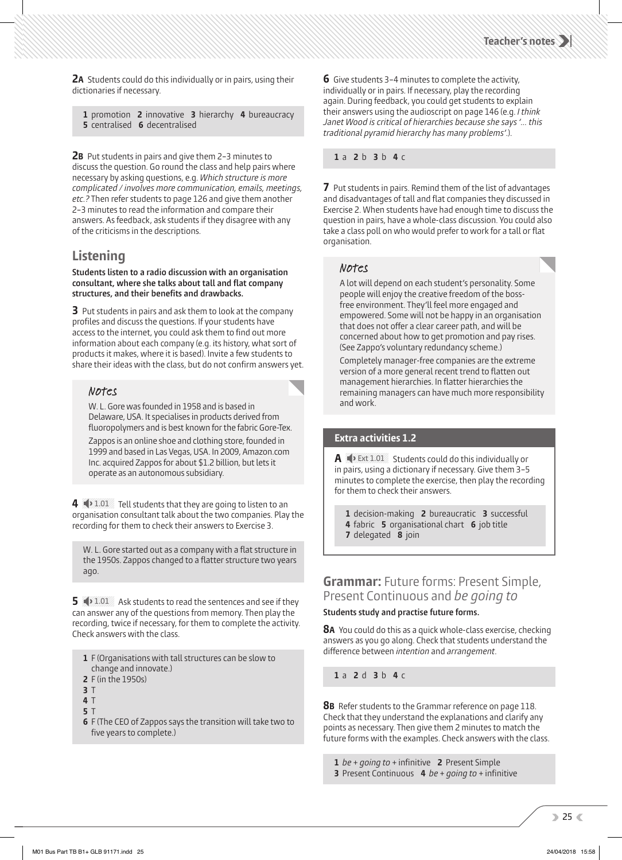**2A** Students could do this individually or in pairs, using their dictionaries if necessary.

**1** promotion **2** innovative **3** hierarchy **4** bureaucracy **5** centralised **6** decentralised

**2B** Put students in pairs and give them 2–3 minutes to discuss the question. Go round the class and help pairs where necessary by asking questions, e.g. *Which structure is more complicated / involves more communication, emails, meetings, etc.?* Then refer students to page 126 and give them another 2–3 minutes to read the information and compare their answers. As feedback, ask students if they disagree with any of the criticisms in the descriptions.

#### **Listening**

 **Students listen to a radio discussion with an organisation**  consultant, where she talks about tall and flat company structures, and their benefits and drawbacks.

**3** Put students in pairs and ask them to look at the company profiles and discuss the questions. If your students have access to the internet, you could ask them to find out more information about each company (e.g. its history, what sort of products it makes, where it is based). Invite a few students to share their ideas with the class, but do not confirm answers yet.

#### Notes

 W. L. Gore was founded in 1958 and is based in Delaware, USA. It specialises in products derived from fluoropolymers and is best known for the fabric Gore-Tex.

Zappos is an online shoe and clothing store, founded in 1999 and based in Las Vegas, USA. In 2009, Amazon.com Inc. acquired Zappos for about \$1.2 billion, but lets it operate as an autonomous subsidiary.

**4**  $\blacklozenge$  1.01 Tell students that they are going to listen to an organisation consultant talk about the two companies. Play the recording for them to check their answers to Exercise 3.

W. L. Gore started out as a company with a flat structure in the 1950s. Zappos changed to a flatter structure two years ago.

**5**  $\rightarrow$  1.01 Ask students to read the sentences and see if they can answer any of the questions from memory. Then play the recording, twice if necessary, for them to complete the activity. Check answers with the class.

- **1** F (Organisations with tall structures can be slow to change and innovate.)
- **2** F (in the 1950s)
- **3** T
- **4** T
- **5** T

**6** F (The CEO of Zappos says the transition will take two to five years to complete.)

**6** Give students 3–4 minutes to complete the activity, individually or in pairs. If necessary, play the recording again. During feedback, you could get students to explain their answers using the audioscript on page 146 (e.g. *I think Janet Wood is critical of hierarchies because she says '… this traditional pyramid hierarchy has many problems'* .).

#### **1** a **2** b **3** b **4** c

**7** Put students in pairs. Remind them of the list of advantages and disadvantages of tall and flat companies they discussed in Exercise 2. When students have had enough time to discuss the question in pairs, have a whole-class discussion. You could also take a class poll on who would prefer to work for a tall or flat organisation.

#### Notes

 A lot will depend on each student's personality. Some people will enjoy the creative freedom of the bossfree environment. They'll feel more engaged and empowered. Some will not be happy in an organisation that does not offer a clear career path, and will be concerned about how to get promotion and pay rises. (See Zappo's voluntary redundancy scheme.)

Completely manager-free companies are the extreme version of a more general recent trend to flatten out management hierarchies. In flatter hierarchies the remaining managers can have much more responsibility and work.

#### **Extra activities 1.2**

**A**  $\blacklozenge$  Ext 1.01 Students could do this individually or in pairs, using a dictionary if necessary. Give them 3–5 minutes to complete the exercise, then play the recording for them to check their answers.

**1** decision-making **2** bureaucratic **3** successful **4** fabric **5** organisational chart **6** job title **7** delegated **8** join

#### **Grammar:** Future forms: Present Simple, Present Continuous and *be going to*

#### **Students study and practise future forms.**

**8A** You could do this as a quick whole-class exercise, checking answers as you go along. Check that students understand the difference between *intention* and *arrangement*.

**1** a **2** d **3** b **4** c

**8B** Refer students to the Grammar reference on page 118. Check that they understand the explanations and clarify any points as necessary. Then give them 2 minutes to match the future forms with the examples. Check answers with the class.

- **1** *be* + *going to* + infinitive **2** Present Simple
- **3** Present Continuous **4** *be* + *going to* + infinitive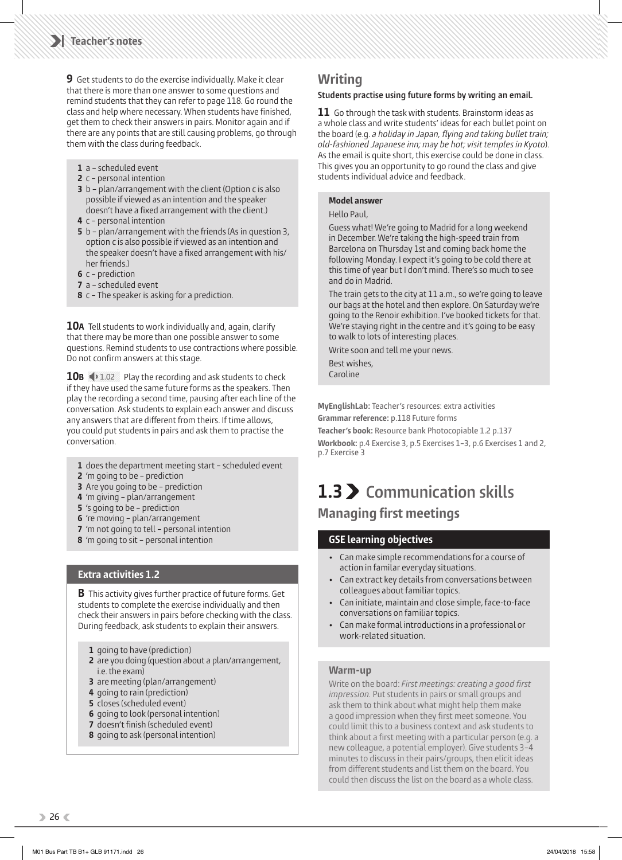**9** Get students to do the exercise individually. Make it clear that there is more than one answer to some questions and remind students that they can refer to page 118. Go round the class and help where necessary. When students have finished, get them to check their answers in pairs. Monitor again and if there are any points that are still causing problems, go through them with the class during feedback.

- **1** a scheduled event
- **2** c personal intention
- **3** b plan/arrangement with the client (Option c is also possible if viewed as an intention and the speaker doesn't have a fixed arrangement with the client.)
- **4** c personal intention
- **5** b plan/arrangement with the friends (As in question 3, option c is also possible if viewed as an intention and the speaker doesn't have a fixed arrangement with his/ her friends.)
- **6** c prediction
- **7** a scheduled event
- **8** c The speaker is asking for a prediction.

**10A** Tell students to work individually and, again, clarify that there may be more than one possible answer to some questions. Remind students to use contractions where possible. Do not confirm answers at this stage.

**10B**  $\rightarrow$  1.02 Play the recording and ask students to check if they have used the same future forms as the speakers. Then play the recording a second time, pausing after each line of the conversation. Ask students to explain each answer and discuss any answers that are different from theirs. If time allows, you could put students in pairs and ask them to practise the conversation.

- **1** does the department meeting start scheduled event
- **2** 'm going to be prediction
- **3** Are you going to be prediction
- **4** 'm giving plan/arrangement
- **5** 's going to be prediction
- **6** 're moving plan/arrangement
- **7** 'm not going to tell personal intention
- **8** 'm going to sit personal intention

#### **Extra activities 1.2**

**B** This activity gives further practice of future forms. Get students to complete the exercise individually and then check their answers in pairs before checking with the class. During feedback, ask students to explain their answers.

- **1** going to have (prediction)
- **2** are you doing (question about a plan/arrangement, i.e. the exam)
- **3** are meeting (plan/arrangement)
- **4** going to rain (prediction)
- **5** closes (scheduled event)
- **6** going to look (personal intention)
- **7** doesn't finish (scheduled event)
- **8** going to ask (personal intention)

### **Writing**

#### **Students practise using future forms by writing an email.**

**11** Go through the task with students. Brainstorm ideas as a whole class and write students' ideas for each bullet point on the board (e.g. *a holiday in Japan, flying and taking bullet train; old-fashioned Japanese inn; may be hot; visit temples in Kyoto* ). As the email is quite short, this exercise could be done in class. This gives you an opportunity to go round the class and give students individual advice and feedback.

#### **Model answer**

Hello Paul,

Guess what! We're going to Madrid for a long weekend in December. We're taking the high-speed train from Barcelona on Thursday 1st and coming back home the following Monday. I expect it's going to be cold there at this time of year but I don't mind. There's so much to see and do in Madrid.

The train gets to the city at 11 a.m., so we're going to leave our bags at the hotel and then explore. On Saturday we're going to the Renoir exhibition. I've booked tickets for that. We're staying right in the centre and it's going to be easy to walk to lots of interesting places.

Write soon and tell me your news.

Best wishes, Caroline

**MyEnglishLab:** Teacher's resources: extra activities

**Grammar reference:** p.118 Future forms

**Teacher's book:** Resource bank Photocopiable 1.2 p.137 **Workbook:** p.4 Exercise 3, p.5 Exercises 1–3, p.6 Exercises 1 and 2, p.7 Exercise 3

## **1.3 Communication skills**

### **Managing first meetings**

#### **GSE learning objectives**

- Can make simple recommendations for a course of action in familar everyday situations.
- Can extract key details from conversations between colleagues about familiar topics.
- Can initiate, maintain and close simple, face-to-face conversations on familiar topics.
- Can make formal introductions in a professional or work-related situation.

#### **Warm-up**

Write on the board: First meetings: creating a good first *impression.* Put students in pairs or small groups and ask them to think about what might help them make a good impression when they first meet someone. You could limit this to a business context and ask students to think about a first meeting with a particular person (e.g. a new colleague, a potential employer). Give students 3–4 minutes to discuss in their pairs/groups, then elicit ideas from different students and list them on the board. You could then discuss the list on the board as a whole class.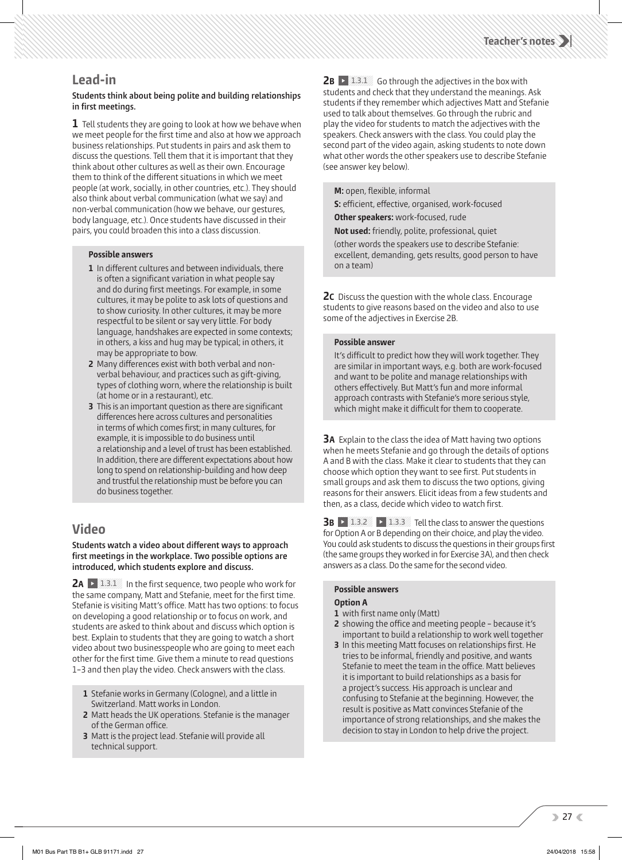#### **Lead-in**

#### **Students think about being polite and building relationships**  in first meetings.

**1** Tell students they are going to look at how we behave when we meet people for the first time and also at how we approach business relationships. Put students in pairs and ask them to discuss the questions. Tell them that it is important that they think about other cultures as well as their own. Encourage them to think of the different situations in which we meet people (at work, socially, in other countries, etc.). They should also think about verbal communication (what we say) and non-verbal communication (how we behave, our gestures, body language, etc.). Once students have discussed in their pairs, you could broaden this into a class discussion.

#### **Possible answers**

- **1** In different cultures and between individuals, there is often a significant variation in what people say and do during first meetings. For example, in some cultures, it may be polite to ask lots of questions and to show curiosity. In other cultures, it may be more respectful to be silent or say very little. For body language, handshakes are expected in some contexts; in others, a kiss and hug may be typical; in others, it may be appropriate to bow.
- **2** Many differences exist with both verbal and nonverbal behaviour, and practices such as gift-giving, types of clothing worn, where the relationship is built (at home or in a restaurant), etc.
- **3** This is an important question as there are significant differences here across cultures and personalities in terms of which comes first; in many cultures, for example, it is impossible to do business until a relationship and a level of trust has been established. In addition, there are different expectations about how long to spend on relationship-building and how deep and trustful the relationship must be before you can do business together.

### **Video**

**Students watch a video about different ways to approach** first meetings in the workplace. Two possible options are **introduced, which students explore and discuss.** 

**2A**  $\triangleright$  1.3.1 In the first sequence, two people who work for the same company, Matt and Stefanie, meet for the first time. Stefanie is visiting Matt's office. Matt has two options: to focus on developing a good relationship or to focus on work, and students are asked to think about and discuss which option is best. Explain to students that they are going to watch a short video about two businesspeople who are going to meet each other for the first time. Give them a minute to read questions 1–3 and then play the video. Check answers with the class.

- **1** Stefanie works in Germany (Cologne), and a little in Switzerland. Matt works in London.
- **2** Matt heads the UK operations. Stefanie is the manager of the German office.
- **3** Matt is the project lead. Stefanie will provide all technical support.

**2B**  $\triangleright$  1.3.1 Go through the adjectives in the box with students and check that they understand the meanings. Ask students if they remember which adjectives Matt and Stefanie used to talk about themselves. Go through the rubric and play the video for students to match the adjectives with the speakers. Check answers with the class. You could play the second part of the video again, asking students to note down what other words the other speakers use to describe Stefanie (see answer key below).

**M:** open, flexible, informal

**S:** efficient, effective, organised, work-focused

**Other speakers:** work-focused, rude

**Not used:** friendly, polite, professional, quiet (other words the speakers use to describe Stefanie: excellent, demanding, gets results, good person to have on a team)

**2C** Discuss the question with the whole class. Encourage students to give reasons based on the video and also to use some of the adjectives in Exercise 2B.

#### **Possible answer**

It's difficult to predict how they will work together. They are similar in important ways, e.g. both are work-focused and want to be polite and manage relationships with others effectively. But Matt's fun and more informal approach contrasts with Stefanie's more serious style, which might make it difficult for them to cooperate.

**3A** Explain to the class the idea of Matt having two options when he meets Stefanie and go through the details of options A and B with the class. Make it clear to students that they can choose which option they want to see first. Put students in small groups and ask them to discuss the two options, giving reasons for their answers. Elicit ideas from a few students and then, as a class, decide which video to watch first.

**3B**  $\rightarrow$  1.3.2  $\rightarrow$  1.3.3 Tell the class to answer the questions for Option A or B depending on their choice, and play the video. You could ask students to discuss the questions in their groups first (the same groups they worked in for Exercise 3A), and then check answers as a class. Do the same for the second video.

#### **Possible answers**

#### **Option A**

- **1** with first name only (Matt)
- **2** showing the office and meeting people because it's important to build a relationship to work well together
- **3** In this meeting Matt focuses on relationships first. He tries to be informal, friendly and positive, and wants Stefanie to meet the team in the office. Matt believes it is important to build relationships as a basis for a project's success. His approach is unclear and confusing to Stefanie at the beginning. However, the result is positive as Matt convinces Stefanie of the importance of strong relationships, and she makes the decision to stay in London to help drive the project.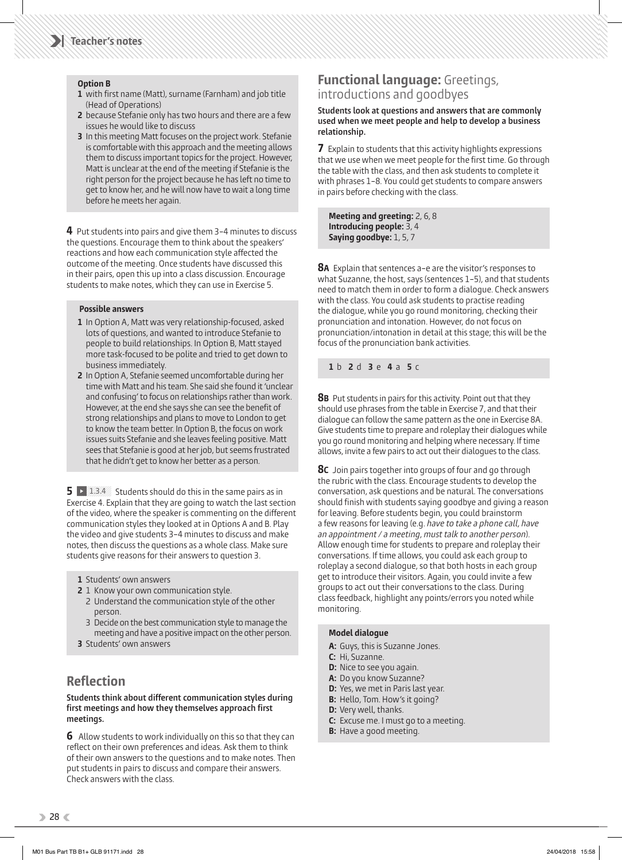#### **Option B**

- **1** with first name (Matt), surname (Farnham) and job title (Head of Operations)
- **2** because Stefanie only has two hours and there are a few issues he would like to discuss
- **3** In this meeting Matt focuses on the project work. Stefanie is comfortable with this approach and the meeting allows them to discuss important topics for the project. However, Matt is unclear at the end of the meeting if Stefanie is the right person for the project because he has left no time to get to know her, and he will now have to wait a long time before he meets her again.

**4** Put students into pairs and give them 3–4 minutes to discuss the questions. Encourage them to think about the speakers' reactions and how each communication style affected the outcome of the meeting. Once students have discussed this in their pairs, open this up into a class discussion. Encourage students to make notes, which they can use in Exercise 5.

#### **Possible answers**

- **1** In Option A, Matt was very relationship-focused, asked lots of questions, and wanted to introduce Stefanie to people to build relationships. In Option B, Matt stayed more task-focused to be polite and tried to get down to business immediately.
- **2** In Option A, Stefanie seemed uncomfortable during her time with Matt and his team. She said she found it 'unclear and confusing' to focus on relationships rather than work. However, at the end she says she can see the benefit of strong relationships and plans to move to London to get to know the team better. In Option B, the focus on work issues suits Stefanie and she leaves feeling positive. Matt sees that Stefanie is good at her job, but seems frustrated that he didn't get to know her better as a person.

**5** 1.3.4 Students should do this in the same pairs as in Exercise 4. Explain that they are going to watch the last section of the video, where the speaker is commenting on the different communication styles they looked at in Options A and B. Play the video and give students 3–4 minutes to discuss and make notes, then discuss the questions as a whole class. Make sure students give reasons for their answers to question 3.

- **1** Students' own answers
- **2** 1 Know your own communication style.
	- 2 Understand the communication style of the other person.
	- 3 Decide on the best communication style to manage the meeting and have a positive impact on the other person.
- **3** Students' own answers

## **Reflection**

#### **Students think about different communication styles during** first meetings and how they themselves approach first **meetings.**

**6** Allow students to work individually on this so that they can reflect on their own preferences and ideas. Ask them to think of their own answers to the questions and to make notes. Then put students in pairs to discuss and compare their answers. Check answers with the class.

#### **Functional language:** Greetings, introductions and goodbyes

 **Students look at questions and answers that are commonly used when we meet people and help to develop a business relationship.** 

**7** Explain to students that this activity highlights expressions that we use when we meet people for the first time. Go through the table with the class, and then ask students to complete it with phrases 1–8. You could get students to compare answers in pairs before checking with the class.

 **Meeting and greeting:** 2, 6, 8  **Introducing people:** 3, 4 **Saying goodbye:** 1, 5, 7

**8A** Explain that sentences a–e are the visitor's responses to what Suzanne, the host, says (sentences 1–5), and that students need to match them in order to form a dialogue. Check answers with the class. You could ask students to practise reading the dialogue, while you go round monitoring, checking their pronunciation and intonation. However, do not focus on pronunciation/intonation in detail at this stage; this will be the focus of the pronunciation bank activities.

**1** b **2** d **3** e **4** a **5** c

**8B** Put students in pairs for this activity. Point out that they should use phrases from the table in Exercise 7, and that their dialogue can follow the same pattern as the one in Exercise 8A. Give students time to prepare and roleplay their dialogues while you go round monitoring and helping where necessary. If time allows, invite a few pairs to act out their dialogues to the class.

**8C** Join pairs together into groups of four and go through the rubric with the class. Encourage students to develop the conversation, ask questions and be natural. The conversations should finish with students saying goodbye and giving a reason for leaving. Before students begin, you could brainstorm a few reasons for leaving (e.g. *have to take a phone call* , *have*  an appointment / a meeting, must talk to another person). Allow enough time for students to prepare and roleplay their conversations. If time allows, you could ask each group to roleplay a second dialogue, so that both hosts in each group get to introduce their visitors. Again, you could invite a few groups to act out their conversations to the class. During class feedback, highlight any points/errors you noted while monitoring.

#### **Model dialogue**

- **A:** Guys, this is Suzanne Jones.
- **C:** Hi, Suzanne.
- **D:** Nice to see you again.
- **A:** Do you know Suzanne?
- **D:** Yes, we met in Paris last year.
- **B:** Hello, Tom. How's it going?
- **D:** Very well, thanks.
- **C:** Excuse me. I must go to a meeting.
- **B:** Have a good meeting.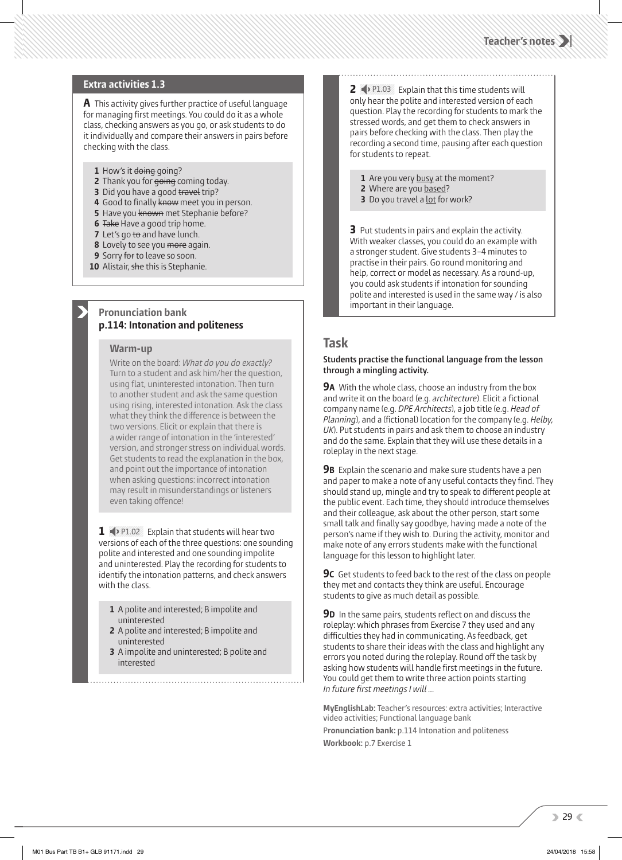#### **Extra activities 1.3**

**A** This activity gives further practice of useful language for managing first meetings. You could do it as a whole class, checking answers as you go, or ask students to do it individually and compare their answers in pairs before checking with the class.

- 1 How's it doing going?
- **2** Thank you for going coming today.
- **3** Did you have a good travel trip?
- 4 Good to finally know meet you in person.
- **5 Have you known met Stephanie before?**
- **6** Take Have a good trip home.
- **7** Let's go to and have lunch.
- **8** Lovely to see you more again.
- **9** Sorry for to leave so soon.
- **10** Alistair, she this is Stephanie.

#### **Pronunciation bank p.114: Intonation and politeness**

#### **Warm-up**

Write on the board: *What do you do exactly?* Turn to a student and ask him/her the question, using flat, uninterested intonation. Then turn to another student and ask the same question using rising, interested intonation. Ask the class what they think the difference is between the two versions. Elicit or explain that there is a wider range of intonation in the 'interested' version, and stronger stress on individual words. Get students to read the explanation in the box, and point out the importance of intonation when asking questions: incorrect intonation may result in misunderstandings or listeners even taking offence!

1 P1.02 Explain that students will hear two versions of each of the three questions: one sounding polite and interested and one sounding impolite and uninterested. Play the recording for students to identify the intonation patterns, and check answers with the class.

- **1** A polite and interested; B impolite and uninterested
- **2** A polite and interested; B impolite and uninterested
- **3** A impolite and uninterested; B polite and interested

**2**  $\blacklozenge$  P1.03 Explain that this time students will only hear the polite and interested version of each question. Play the recording for students to mark the stressed words, and get them to check answers in pairs before checking with the class. Then play the recording a second time, pausing after each question for students to repeat.

1 Are you very busy at the moment?

- **2** Where are you based?
- **3** Do you travel a <u>lot</u> for work?

**3** Put students in pairs and explain the activity. With weaker classes, you could do an example with a stronger student. Give students 3–4 minutes to practise in their pairs. Go round monitoring and help, correct or model as necessary. As a round-up, you could ask students if intonation for sounding polite and interested is used in the same way / is also important in their language.

#### **Task**

#### **Students practise the functional language from the lesson through a mingling activity.**

**9A** With the whole class, choose an industry from the box and write it on the board (e.g. *architecture*). Elicit a fictional company name (e.g. *DPE Architects* ), a job title (e.g. *Head of Planning*), and a (fictional) location for the company (e.g. *Helby*, *UK*). Put students in pairs and ask them to choose an industry and do the same. Explain that they will use these details in a roleplay in the next stage.

**9B** Explain the scenario and make sure students have a pen and paper to make a note of any useful contacts they find. They should stand up, mingle and try to speak to different people at the public event. Each time, they should introduce themselves and their colleague, ask about the other person, start some small talk and finally say goodbye, having made a note of the person's name if they wish to. During the activity, monitor and make note of any errors students make with the functional language for this lesson to highlight later.

**9C** Get students to feed back to the rest of the class on people they met and contacts they think are useful. Encourage students to give as much detail as possible.

**9D** In the same pairs, students reflect on and discuss the roleplay: which phrases from Exercise 7 they used and any difficulties they had in communicating. As feedback, get students to share their ideas with the class and highlight any errors you noted during the roleplay. Round off the task by asking how students will handle first meetings in the future. You could get them to write three action points starting *In future first meetings I will ...* 

**MyEnglishLab:** Teacher's resources: extra activities; Interactive video activities; Functional language bank

P**ronunciation bank:** p.114 Intonation and politeness **Workbook:** p.7 Exercise 1

 $29<$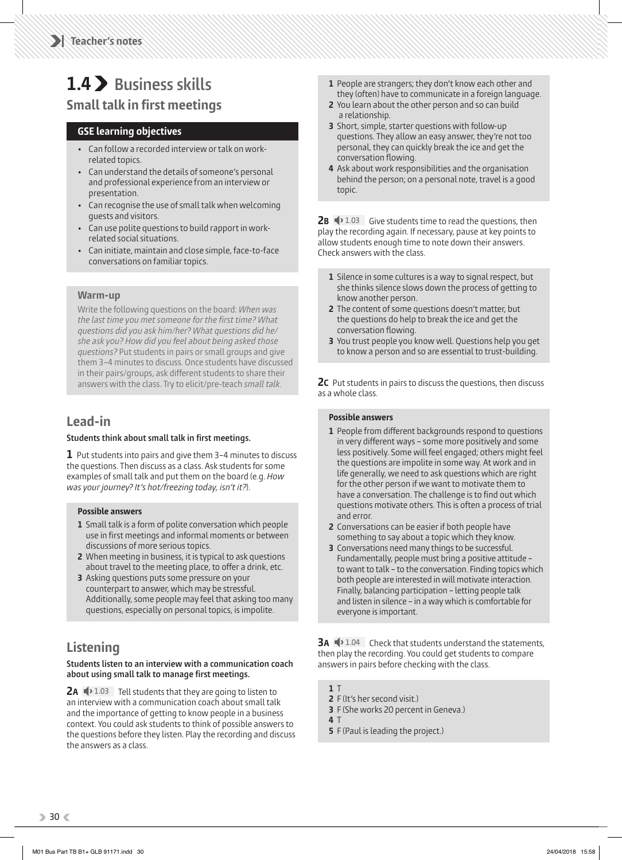## **1.4 Business skills**

## **Small talk in first meetings**

#### **GSE learning objectives**

- Can follow a recorded interview or talk on workrelated topics.
- Can understand the details of someone's personal and professional experience from an interview or presentation.
- Can recognise the use of small talk when welcoming guests and visitors.
- Can use polite questions to build rapport in workrelated social situations.
- Can initiate, maintain and close simple, face-to-face conversations on familiar topics.

#### **Warm-up**

Write the following questions on the board: *When was*  the last time you met someone for the first time? What *questions did you ask him/her? What questions did he/ she ask you? How did you feel about being asked those questions?* Put students in pairs or small groups and give them 3–4 minutes to discuss. Once students have discussed in their pairs/groups, ask different students to share their answers with the class. Try to elicit/pre-teach *small talk*.

## **Lead-in**

#### **Students think about small talk in first meetings.**

**1** Put students into pairs and give them 3–4 minutes to discuss the questions. Then discuss as a class. Ask students for some examples of small talk and put them on the board (e.g. *How*  was your journey? It's hot/freezing today, isn't it?).

#### **Possible answers**

- **1** Small talk is a form of polite conversation which people use in first meetings and informal moments or between discussions of more serious topics.
- **2** When meeting in business, it is typical to ask questions about travel to the meeting place, to offer a drink, etc.
- **3** Asking questions puts some pressure on your counterpart to answer, which may be stressful. Additionally, some people may feel that asking too many questions, especially on personal topics, is impolite.

## **Listening**

#### **Students listen to an interview with a communication coach**  about using small talk to manage first meetings.

**2A**  $\rightarrow$  1.03 Tell students that they are going to listen to an interview with a communication coach about small talk and the importance of getting to know people in a business context. You could ask students to think of possible answers to the questions before they listen. Play the recording and discuss the answers as a class.

- **1** People are strangers; they don't know each other and they (often) have to communicate in a foreign language.
- **2** You learn about the other person and so can build a relationship.
- **3** Short, simple, starter questions with follow-up questions. They allow an easy answer, they're not too personal, they can quickly break the ice and get the conversation flowing.
- **4** Ask about work responsibilities and the organisation behind the person; on a personal note, travel is a good topic.

**2B**  $\rightarrow$  1.03 Give students time to read the questions, then play the recording again. If necessary, pause at key points to allow students enough time to note down their answers. Check answers with the class.

- **1** Silence in some cultures is a way to signal respect, but she thinks silence slows down the process of getting to know another person.
- **2** The content of some questions doesn't matter, but the questions do help to break the ice and get the conversation flowing.
- **3** You trust people you know well. Questions help you get to know a person and so are essential to trust-building.

**2C** Put students in pairs to discuss the questions, then discuss as a whole class.

#### **Possible answers**

- **1** People from different backgrounds respond to questions in very different ways – some more positively and some less positively. Some will feel engaged; others might feel the questions are impolite in some way. At work and in life generally, we need to ask questions which are right for the other person if we want to motivate them to have a conversation. The challenge is to find out which questions motivate others. This is often a process of trial and error.
- **2** Conversations can be easier if both people have something to say about a topic which they know.
- **3** Conversations need many things to be successful. Fundamentally, people must bring a positive attitude – to want to talk – to the conversation. Finding topics which both people are interested in will motivate interaction. Finally, balancing participation – letting people talk and listen in silence – in a way which is comfortable for everyone is important.

**3A**  $\blacklozenge$  1.04 Check that students understand the statements, then play the recording. You could get students to compare answers in pairs before checking with the class.

- **1** T
- **2** F (It's her second visit.)
- **3** F (She works 20 percent in Geneva.)
- **4** T
- **5** F (Paul is leading the project.)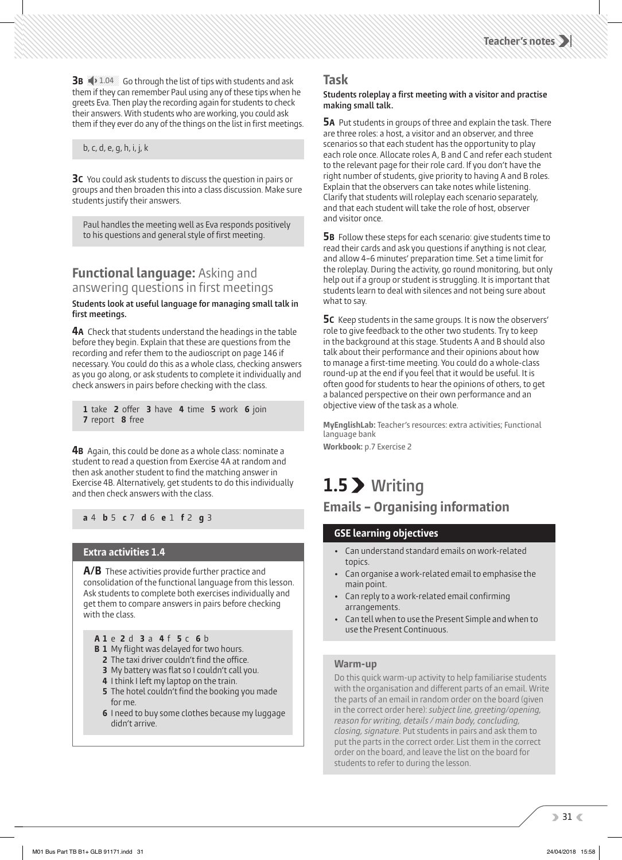**Teacher's notes**

**3B**  $\blacklozenge$  1.04 Go through the list of tips with students and ask them if they can remember Paul using any of these tips when he greets Eva. Then play the recording again for students to check their answers. With students who are working, you could ask them if they ever do any of the things on the list in first meetings.

#### b, c, d, e, g, h, i, j, k

**3C** You could ask students to discuss the question in pairs or groups and then broaden this into a class discussion. Make sure students justify their answers.

Paul handles the meeting well as Eva responds positively to his questions and general style of first meeting.

#### **Functional language:** Asking and answering questions in first meetings

#### **Students look at useful language for managing small talk in**  first meetings.

**4A** Check that students understand the headings in the table before they begin. Explain that these are questions from the recording and refer them to the audioscript on page 146 if necessary. You could do this as a whole class, checking answers as you go along, or ask students to complete it individually and check answers in pairs before checking with the class.

**1** take **2** o er **3** have **4** time **5** work **6** join **7** report **8** free

**4B** Again, this could be done as a whole class: nominate a student to read a question from Exercise 4A at random and then ask another student to find the matching answer in Exercise 4B. Alternatively, get students to do this individually and then check answers with the class.

**a** 4 **b** 5 **c** 7 **d** 6 **e** 1 **f** 2 **g** 3

#### **Extra activities 1.4**

**A/B** These activities provide further practice and consolidation of the functional language from this lesson. Ask students to complete both exercises individually and get them to compare answers in pairs before checking with the class.

- **A 1** e **2** d **3** a **4** f **5** c **6** b
- **B 1** My flight was delayed for two hours.
- **2** The taxi driver couldn't find the office.
- **3** My battery was flat so I couldn't call you.
- **4** I think I left my laptop on the train.
- **5** The hotel couldn't find the booking you made for me.
- **6** I need to buy some clothes because my luggage didn't arrive.

#### **Task**

#### **Students roleplay a first meeting with a visitor and practise making small talk.**

**5A** Put students in groups of three and explain the task. There are three roles: a host, a visitor and an observer, and three scenarios so that each student has the opportunity to play each role once. Allocate roles A, B and C and refer each student to the relevant page for their role card. If you don't have the right number of students, give priority to having A and B roles. Explain that the observers can take notes while listening. Clarify that students will roleplay each scenario separately, and that each student will take the role of host, observer and visitor once.

**5B** Follow these steps for each scenario: give students time to read their cards and ask you questions if anything is not clear, and allow 4–6 minutes' preparation time. Set a time limit for the roleplay. During the activity, go round monitoring, but only help out if a group or student is struggling. It is important that students learn to deal with silences and not being sure about what to say.

**5C** Keep students in the same groups. It is now the observers' role to give feedback to the other two students. Try to keep in the background at this stage. Students A and B should also talk about their performance and their opinions about how to manage a first-time meeting. You could do a whole-class round-up at the end if you feel that it would be useful. It is often good for students to hear the opinions of others, to get a balanced perspective on their own performance and an objective view of the task as a whole.

**MyEnglishLab:** Teacher's resources: extra activities; Functional language bank

**Workbook:** p.7 Exercise 2

## **1.5 Writing**

## **Emails – Organising information**

#### **GSE learning objectives**

- Can understand standard emails on work-related topics.
- Can organise a work-related email to emphasise the main point.
- Can reply to a work-related email confirming arrangements.
- Can tell when to use the Present Simple and when to use the Present Continuous.

#### **Warm-up**

Do this quick warm-up activity to help familiarise students with the organisation and different parts of an email. Write the parts of an email in random order on the board (given in the correct order here): *subject line, greeting/opening, reason for writing, details / main body, concluding, closing, signature* . Put students in pairs and ask them to put the parts in the correct order. List them in the correct order on the board, and leave the list on the board for students to refer to during the lesson.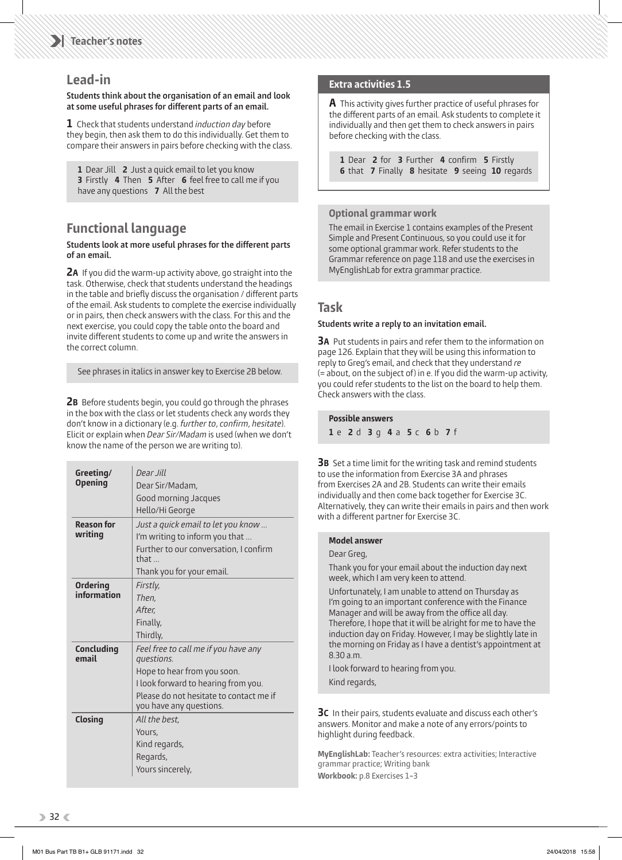#### **Lead-in**

#### **Students think about the organisation of an email and look**  at some useful phrases for different parts of an email.

**1** Check that students understand *induction day* before they begin, then ask them to do this individually. Get them to compare their answers in pairs before checking with the class.

**1** Dear Jill **2** Just a quick email to let you know **3** Firstly **4** Then **5** After **6** feel free to call me if you have any questions **7** All the best

## **Functional language**

#### **Students look at more useful phrases for the different parts of an email.**

**2A** If you did the warm-up activity above, go straight into the task. Otherwise, check that students understand the headings in the table and briefly discuss the organisation / different parts of the email. Ask students to complete the exercise individually or in pairs, then check answers with the class. For this and the next exercise, you could copy the table onto the board and invite different students to come up and write the answers in the correct column.

See phrases in italics in answer key to Exercise 2B below.

**2B** Before students begin, you could go through the phrases in the box with the class or let students check any words they don't know in a dictionary (e.g. *further to, confirm, hesitate*). Elicit or explain when *Dear Sir/Madam* is used (when we don't know the name of the person we are writing to).

| Greeting/           | Dear Jill                                                          |  |  |  |  |
|---------------------|--------------------------------------------------------------------|--|--|--|--|
| <b>Opening</b>      | Dear Sir/Madam,                                                    |  |  |  |  |
|                     | Good morning Jacques                                               |  |  |  |  |
|                     | Hello/Hi George                                                    |  |  |  |  |
| <b>Reason for</b>   | Just a quick email to let you know                                 |  |  |  |  |
| writing             | I'm writing to inform you that                                     |  |  |  |  |
|                     | Further to our conversation, I confirm<br>that $\Box$              |  |  |  |  |
|                     | Thank you for your email.                                          |  |  |  |  |
| <b>Ordering</b>     | Firstly,                                                           |  |  |  |  |
| information         | Then.                                                              |  |  |  |  |
|                     | After.                                                             |  |  |  |  |
|                     | Finally,                                                           |  |  |  |  |
|                     | Thirdly,                                                           |  |  |  |  |
| Concluding<br>email | Feel free to call me if you have any<br>questions.                 |  |  |  |  |
|                     | Hope to hear from you soon.                                        |  |  |  |  |
|                     | I look forward to hearing from you.                                |  |  |  |  |
|                     | Please do not hesitate to contact me if<br>you have any questions. |  |  |  |  |
| <b>Closing</b>      | All the best.                                                      |  |  |  |  |
|                     | Yours,                                                             |  |  |  |  |
|                     | Kind regards,                                                      |  |  |  |  |
|                     | Regards,                                                           |  |  |  |  |
|                     | Yours sincerely,                                                   |  |  |  |  |

#### **Extra activities 1.5**

**A** This activity gives further practice of useful phrases for the different parts of an email. Ask students to complete it individually and then get them to check answers in pairs before checking with the class.

**1** Dear **2** for **3** Further **4** confirm **5** Firstly **6** that **7** Finally **8** hesitate **9** seeing **10** regards

#### **Optional grammar work**

The email in Exercise 1 contains examples of the Present Simple and Present Continuous, so you could use it for some optional grammar work. Refer students to the Grammar reference on page 118 and use the exercises in MyEnglishLab for extra grammar practice.

#### **Task**

#### **Students write a reply to an invitation email.**

**3A** Put students in pairs and refer them to the information on page 126. Explain that they will be using this information to reply to Greg's email, and check that they understand *re*  (= about, on the subject of) in e. If you did the warm-up activity, you could refer students to the list on the board to help them. Check answers with the class.

| <b>Possible answers</b> |  |                             |  |  |  |  |  |  |  |  |
|-------------------------|--|-----------------------------|--|--|--|--|--|--|--|--|
|                         |  | 1 e 2 d 3 q 4 a 5 c 6 b 7 f |  |  |  |  |  |  |  |  |

**3B** Set a time limit for the writing task and remind students to use the information from Exercise 3A and phrases from Exercises 2A and 2B. Students can write their emails individually and then come back together for Exercise 3C. Alternatively, they can write their emails in pairs and then work with a different partner for Exercise 3C.

#### **Model answer**

Dear Greg,

 Thank you for your email about the induction day next week, which I am very keen to attend.

 Unfortunately, I am unable to attend on Thursday as I'm going to an important conference with the Finance Manager and will be away from the office all day. Therefore, I hope that it will be alright for me to have the induction day on Friday. However, I may be slightly late in the morning on Friday as I have a dentist's appointment at 8.30 a.m.

 I look forward to hearing from you. Kind regards,

**3C** In their pairs, students evaluate and discuss each other's answers. Monitor and make a note of any errors/points to highlight during feedback.

**MyEnglishLab:** Teacher's resources: extra activities; Interactive grammar practice; Writing bank **Workbook:** p.8 Exercises 1–3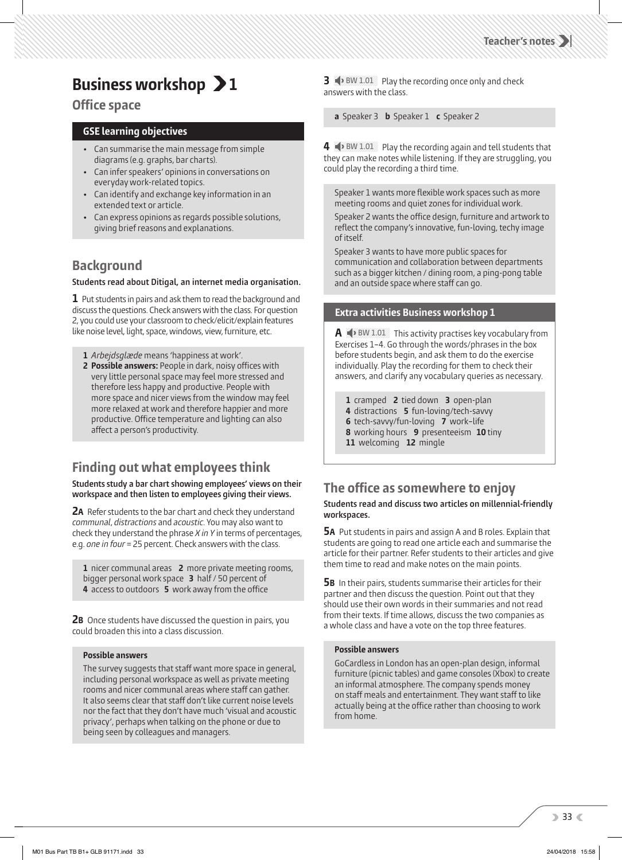## **Business workshop > 1**

### **Office space**

#### **GSE learning objectives**

- Can summarise the main message from simple diagrams (e.g. graphs, bar charts).
- Can infer speakers' opinions in conversations on everyday work-related topics.
- Can identify and exchange key information in an extended text or article.
- Can express opinions as regards possible solutions, giving brief reasons and explanations.

## **Background**

#### **Students read about Ditigal, an internet media organisation.**

**1** Put students in pairs and ask them to read the background and discuss the questions. Check answers with the class. For question 2, you could use your classroom to check/elicit/explain features like noise level, light, space, windows, view, furniture, etc.

- **1** *Arbejdsglæde* means 'happiness at work'.
- 2 Possible answers: People in dark, noisy offices with very little personal space may feel more stressed and therefore less happy and productive. People with more space and nicer views from the window may feel more relaxed at work and therefore happier and more productive. Office temperature and lighting can also affect a person's productivity.

## **Finding out what employees think**

**Students study a bar chart showing employees' views on their workspace and then listen to employees giving their views.**

**2A** Refer students to the bar chart and check they understand *communal* , *distractions* and *acoustic* . You may also want to check they understand the phrase *X in Y* in terms of percentages, e.g. *one in four* = 25 percent. Check answers with the class.

**1** nicer communal areas **2** more private meeting rooms, bigger personal work space **3** half / 50 percent of **4** access to outdoors **5** work away from the office

**2B** Once students have discussed the question in pairs, you could broaden this into a class discussion.

#### **Possible answers**

The survey suggests that staff want more space in general, including personal workspace as well as private meeting rooms and nicer communal areas where staff can gather. It also seems clear that staff don't like current noise levels nor the fact that they don't have much 'visual and acoustic privacy', perhaps when talking on the phone or due to being seen by colleagues and managers.

**3**  $\rightarrow$  BW 1.01 Play the recording once only and check answers with the class.

**a** Speaker 3 **b** Speaker 1 **c** Speaker 2

**4**  $\blacklozenge$  BW 1.01 Play the recording again and tell students that they can make notes while listening. If they are struggling, you could play the recording a third time.

Speaker 1 wants more flexible work spaces such as more meeting rooms and quiet zones for individual work.

Speaker 2 wants the office design, furniture and artwork to reflect the company's innovative, fun-loving, techy image of itself.

Speaker 3 wants to have more public spaces for communication and collaboration between departments such as a bigger kitchen / dining room, a ping-pong table and an outside space where staff can go.

#### **Extra activities Business workshop 1**

**A**  $\blacktriangle$  BW 1.01 This activity practises key vocabulary from Exercises 1–4. Go through the words/phrases in the box before students begin, and ask them to do the exercise individually. Play the recording for them to check their answers, and clarify any vocabulary queries as necessary.

- **1** cramped **2** tied down **3** open-plan
- **4** distractions **5** fun-loving/tech-savvy
- **6** tech-savvy/fun-loving **7** work–life
- **8** working hours **9** presenteeism **10** tiny
- **11** welcoming **12** mingle

## **The office as somewhere to enjoy**

#### **Students read and discuss two articles on millennial-friendly workspaces.**

**5A** Put students in pairs and assign A and B roles. Explain that students are going to read one article each and summarise the article for their partner. Refer students to their articles and give them time to read and make notes on the main points.

**5B** In their pairs, students summarise their articles for their partner and then discuss the question. Point out that they should use their own words in their summaries and not read from their texts. If time allows, discuss the two companies as a whole class and have a vote on the top three features.

#### **Possible answers**

 GoCardless in London has an open-plan design, informal furniture (picnic tables) and game consoles (Xbox) to create an informal atmosphere. The company spends money on staff meals and entertainment. They want staff to like actually being at the office rather than choosing to work from home.